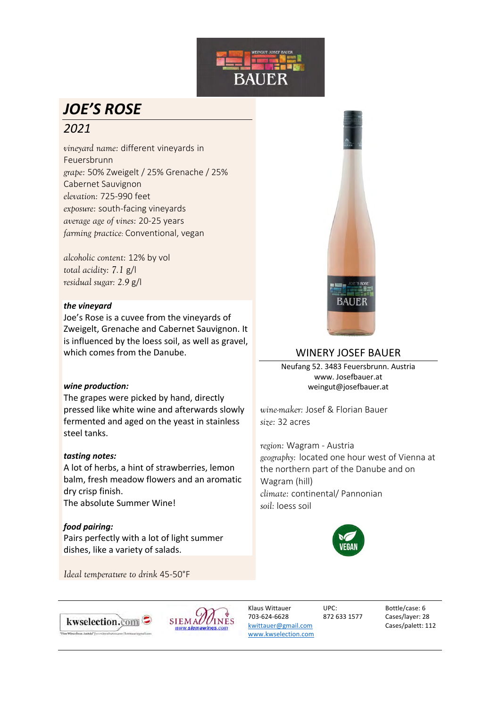

# *JOE'S ROSE 2021*

*vineyard name:* different vineyards in Feuersbrunn *grape:* 50% Zweigelt / 25% Grenache / 25% Cabernet Sauvignon *elevation:* 725-990 feet *exposure:* south-facing vineyards *average age of vines:* 20-25 years *farming practice:* Conventional, vegan

*alcoholic content:* 12% by vol *total acidity: 7.1* g/l *residual sugar: 2.9* g/l

#### *the vineyard*

Joe's Rose is a cuvee from the vineyards of Zweigelt, Grenache and Cabernet Sauvignon. It is influenced by the loess soil, as well as gravel, which comes from the Danube.

### *wine production:*

The grapes were picked by hand, directly pressed like white wine and afterwards slowly fermented and aged on the yeast in stainless steel tanks.

### *tasting notes:*

A lot of herbs, a hint of strawberries, lemon balm, fresh meadow flowers and an aromatic dry crisp finish. The absolute Summer Wine!

*food pairing:* Pairs perfectly with a lot of light summer dishes, like a variety of salads.

*Ideal temperature to drink* 45-50°F



## WINERY JOSEF BAUER

Neufang 52. 3483 Feuersbrunn. Austria www. Josefbauer.at weingut@josefbauer.at

*wine-maker:* Josef & Florian Bauer *size:* 32 acres

*region:* Wagram - Austria *geography:* located one hour west of Vienna at the northern part of the Danube and on Wagram (hill) *climate:* continental/ Pannonian *soil:* loess soil







Klaus Wittauer 703-624-6628 kwittauer@gmail.com www.kwselection.com

UPC: 872 633 1577 Bottle/case: 6 Cases/layer: 28 Cases/palett: 112